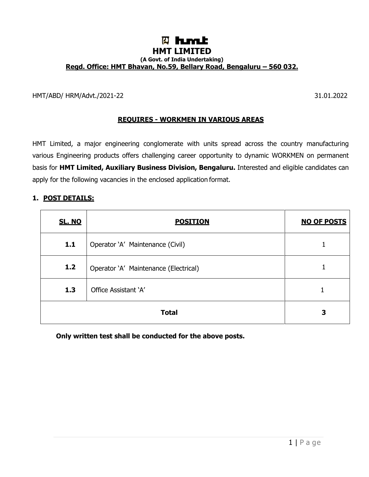# **W** himit **HMT LIMITED (A Govt. of India Undertaking) Regd. Office: HMT Bhavan, No.59, Bellary Road, Bengaluru – 560 032.**

HMT/ABD/ HRM/Advt./2021-22 31.01.2022

#### **REQUIRES - WORKMEN IN VARIOUS AREAS**

HMT Limited, a major engineering conglomerate with units spread across the country manufacturing various Engineering products offers challenging career opportunity to dynamic WORKMEN on permanent basis for **HMT Limited, Auxiliary Business Division, Bengaluru.** Interested and eligible candidates can apply for the following vacancies in the enclosed application format.

#### **1. POST DETAILS:**

| <b>SL. NO</b> | <b>POSITION</b>                       | <b>NO OF POSTS</b> |
|---------------|---------------------------------------|--------------------|
| 1.1           | Operator 'A' Maintenance (Civil)      |                    |
| 1.2           | Operator 'A' Maintenance (Electrical) |                    |
| 1.3           | Office Assistant 'A'                  |                    |
|               | 3                                     |                    |

**Only written test shall be conducted for the above posts.**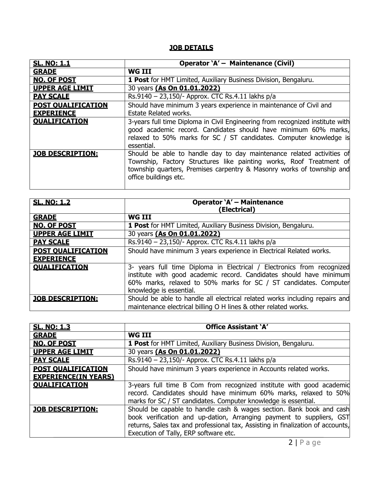# **JOB DETAILS**

| <b>SL. NO: 1.1</b>        | Operator 'A' - Maintenance (Civil)                                                                                                                                                                                                             |  |  |  |  |  |  |
|---------------------------|------------------------------------------------------------------------------------------------------------------------------------------------------------------------------------------------------------------------------------------------|--|--|--|--|--|--|
| <b>GRADE</b>              | <b>WG III</b>                                                                                                                                                                                                                                  |  |  |  |  |  |  |
| <b>NO. OF POST</b>        | <b>1 Post</b> for HMT Limited, Auxiliary Business Division, Bengaluru.                                                                                                                                                                         |  |  |  |  |  |  |
| <b>UPPER AGE LIMIT</b>    | 30 years (As On 01.01.2022)                                                                                                                                                                                                                    |  |  |  |  |  |  |
| <b>PAY SCALE</b>          | Rs.9140 - 23,150/- Approx. CTC Rs.4.11 lakhs p/a                                                                                                                                                                                               |  |  |  |  |  |  |
| <b>POST OUALIFICATION</b> | Should have minimum 3 years experience in maintenance of Civil and                                                                                                                                                                             |  |  |  |  |  |  |
| <b>EXPERIENCE</b>         | <b>Estate Related works.</b>                                                                                                                                                                                                                   |  |  |  |  |  |  |
| <b>OUALIFICATION</b>      | 3-years full time Diploma in Civil Engineering from recognized institute with<br>good academic record. Candidates should have minimum 60% marks,<br>relaxed to 50% marks for SC / ST candidates. Computer knowledge is<br>essential.           |  |  |  |  |  |  |
| <b>JOB DESCRIPTION:</b>   | Should be able to handle day to day maintenance related activities of<br>Township, Factory Structures like painting works, Roof Treatment of<br>township quarters, Premises carpentry & Masonry works of township and<br>office buildings etc. |  |  |  |  |  |  |

| <b>SL. NO: 1.2</b>        | <b>Operator `A' - Maintenance</b><br>(Electrical)                           |
|---------------------------|-----------------------------------------------------------------------------|
| <b>GRADE</b>              | <b>WG III</b>                                                               |
| <b>NO. OF POST</b>        | 1 Post for HMT Limited, Auxiliary Business Division, Bengaluru.             |
| <b>UPPER AGE LIMIT</b>    | 30 years (As On 01.01.2022)                                                 |
| <b>PAY SCALE</b>          | Rs.9140 - 23,150/- Approx. CTC Rs.4.11 lakhs $p/a$                          |
| <b>POST OUALIFICATION</b> | Should have minimum 3 years experience in Electrical Related works.         |
| <b>EXPERIENCE</b>         |                                                                             |
| <b>OUALIFICATION</b>      | 3- years full time Diploma in Electrical / Electronics from recognized      |
|                           | institute with good academic record. Candidates should have minimum         |
|                           | 60% marks, relaxed to 50% marks for SC / ST candidates. Computer            |
|                           | knowledge is essential.                                                     |
| <b>JOB DESCRIPTION:</b>   | Should be able to handle all electrical related works including repairs and |
|                           | maintenance electrical billing O H lines & other related works.             |

| <b>SL. NO: 1.3</b>          | <b>Office Assistant 'A'</b>                                                                                                                                                                                                                                              |  |  |  |  |  |
|-----------------------------|--------------------------------------------------------------------------------------------------------------------------------------------------------------------------------------------------------------------------------------------------------------------------|--|--|--|--|--|
| <b>GRADE</b>                | <b>WG III</b>                                                                                                                                                                                                                                                            |  |  |  |  |  |
| <b>NO. OF POST</b>          | 1 Post for HMT Limited, Auxiliary Business Division, Bengaluru.                                                                                                                                                                                                          |  |  |  |  |  |
| <b>UPPER AGE LIMIT</b>      | 30 years (As On 01.01.2022)                                                                                                                                                                                                                                              |  |  |  |  |  |
| <b>PAY SCALE</b>            | Rs.9140 - 23,150/- Approx. CTC Rs.4.11 lakhs p/a                                                                                                                                                                                                                         |  |  |  |  |  |
| <b>POST OUALIFICATION</b>   | Should have minimum 3 years experience in Accounts related works.                                                                                                                                                                                                        |  |  |  |  |  |
| <b>EXPERIENCE(IN YEARS)</b> |                                                                                                                                                                                                                                                                          |  |  |  |  |  |
| <b>OUALIFICATION</b>        | 3-years full time B Com from recognized institute with good academid<br>record. Candidates should have minimum 60% marks, relaxed to 50%<br>marks for SC / ST candidates. Computer knowledge is essential.                                                               |  |  |  |  |  |
| <b>JOB DESCRIPTION:</b>     | Should be capable to handle cash & wages section. Bank book and cash<br>book verification and up-dation, Arranging payment to suppliers, GST<br>returns, Sales tax and professional tax, Assisting in finalization of accounts,<br>Execution of Tally, ERP software etc. |  |  |  |  |  |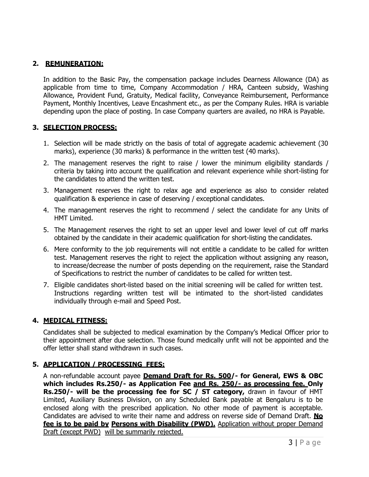#### **2. REMUNERATION:**

In addition to the Basic Pay, the compensation package includes Dearness Allowance (DA) as applicable from time to time, Company Accommodation / HRA, Canteen subsidy, Washing Allowance, Provident Fund, Gratuity, Medical facility, Conveyance Reimbursement, Performance Payment, Monthly Incentives, Leave Encashment etc., as per the Company Rules. HRA is variable depending upon the place of posting. In case Company quarters are availed, no HRA is Payable.

#### **3. SELECTION PROCESS:**

- 1. Selection will be made strictly on the basis of total of aggregate academic achievement (30 marks), experience (30 marks) & performance in the written test (40 marks).
- 2. The management reserves the right to raise / lower the minimum eligibility standards / criteria by taking into account the qualification and relevant experience while short-listing for the candidates to attend the written test.
- 3. Management reserves the right to relax age and experience as also to consider related qualification & experience in case of deserving / exceptional candidates.
- 4. The management reserves the right to recommend / select the candidate for any Units of HMT Limited.
- 5. The Management reserves the right to set an upper level and lower level of cut off marks obtained by the candidate in their academic qualification for short-listing the candidates.
- 6. Mere conformity to the job requirements will not entitle a candidate to be called for written test. Management reserves the right to reject the application without assigning any reason, to increase/decrease the number of posts depending on the requirement, raise the Standard of Specifications to restrict the number of candidates to be called for written test.
- 7. Eligible candidates short-listed based on the initial screening will be called for written test. Instructions regarding written test will be intimated to the short-listed candidates individually through e-mail and Speed Post.

# **4. MEDICAL FITNESS:**

Candidates shall be subjected to medical examination by the Company's Medical Officer prior to their appointment after due selection. Those found medically unfit will not be appointed and the offer letter shall stand withdrawn in such cases.

# **5. APPLICATION / PROCESSING FEES:**

A non-refundable account payee **Demand Draft for Rs. 500/- for General, EWS & OBC which includes Rs.250/- as Application Fee and Rs. 250/- as processing fee. Only Rs.250/- will be the processing fee for SC / ST category,** drawn in favour of HMT Limited, Auxiliary Business Division, on any Scheduled Bank payable at Bengaluru is to be enclosed along with the prescribed application. No other mode of payment is acceptable. Candidates are advised to write their name and address on reverse side of Demand Draft. **No fee is to be paid by Persons with Disability (PWD).** Application without proper Demand Draft (except PWD) will be summarily rejected.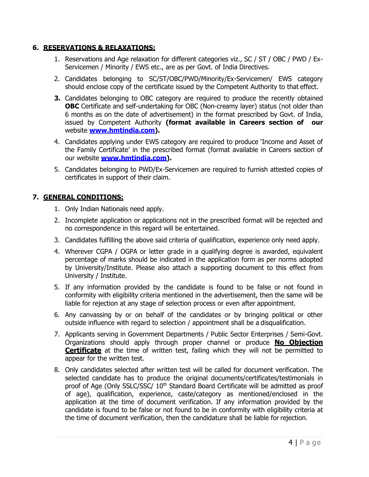#### **6. RESERVATIONS & RELAXATIONS:**

- 1. Reservations and Age relaxation for different categories viz., SC / ST / OBC / PWD / Ex-Servicemen / Minority / EWS etc., are as per Govt. of India Directives.
- 2. Candidates belonging to SC/ST/OBC/PWD/Minority/Ex-Servicemen/ EWS category should enclose copy of the certificate issued by the Competent Authority to that effect.
- **3.** Candidates belonging to OBC category are required to produce the recently obtained **OBC** Certificate and self-undertaking for OBC (Non-creamy layer) status (not older than 6 months as on the date of advertisement) in the format prescribed by Govt. of India, issued by Competent Authority **(format available in Careers section of our**  website **[www.hmtindia.com\)](http://www.hmtindia.com/).**
- 4. Candidates applying under EWS category are required to produce 'Income and Asset of the Family Certificate' in the prescribed format (format available in Careers section of our website **[www.hmtindia.com\)](http://www.hmtindia.com/).**
- 5. Candidates belonging to PWD/Ex-Servicemen are required to furnish attested copies of certificates in support of their claim.

#### **7. GENERAL CONDITIONS:**

- 1. Only Indian Nationals need apply.
- 2. Incomplete application or applications not in the prescribed format will be rejected and no correspondence in this regard will be entertained.
- 3. Candidates fulfilling the above said criteria of qualification, experience only need apply.
- 4. Wherever CGPA / OGPA or letter grade in a qualifying degree is awarded, equivalent percentage of marks should be indicated in the application form as per norms adopted by University/Institute. Please also attach a supporting document to this effect from University / Institute.
- 5. If any information provided by the candidate is found to be false or not found in conformity with eligibility criteria mentioned in the advertisement, then the same will be liable for rejection at any stage of selection process or even after appointment.
- 6. Any canvassing by or on behalf of the candidates or by bringing political or other outside influence with regard to selection / appointment shall be a disqualification.
- 7. Applicants serving in Government Departments / Public Sector Enterprises / Semi-Govt. Organizations should apply through proper channel or produce **No Objection Certificate** at the time of written test, failing which they will not be permitted to appear for the written test.
- 8. Only candidates selected after written test will be called for document verification. The selected candidate has to produce the original documents/certificates/testimonials in proof of Age (Only SSLC/SSC/ 10<sup>th</sup> Standard Board Certificate will be admitted as proof of age), qualification, experience, caste/category as mentioned/enclosed in the application at the time of document verification. If any information provided by the candidate is found to be false or not found to be in conformity with eligibility criteria at the time of document verification, then the candidature shall be liable for rejection.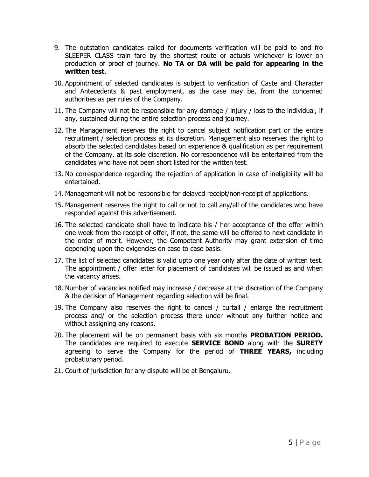- 9. The outstation candidates called for documents verification will be paid to and fro SLEEPER CLASS train fare by the shortest route or actuals whichever is lower on production of proof of journey. **No TA or DA will be paid for appearing in the written test**.
- 10. Appointment of selected candidates is subject to verification of Caste and Character and Antecedents & past employment, as the case may be, from the concerned authorities as per rules of the Company.
- 11. The Company will not be responsible for any damage / injury / loss to the individual, if any, sustained during the entire selection process and journey.
- 12. The Management reserves the right to cancel subject notification part or the entire recruitment / selection process at its discretion. Management also reserves the right to absorb the selected candidates based on experience & qualification as per requirement of the Company, at its sole discretion. No correspondence will be entertained from the candidates who have not been short listed for the written test.
- 13. No correspondence regarding the rejection of application in case of ineligibility will be entertained.
- 14. Management will not be responsible for delayed receipt/non-receipt of applications.
- 15. Management reserves the right to call or not to call any/all of the candidates who have responded against this advertisement.
- 16. The selected candidate shall have to indicate his / her acceptance of the offer within one week from the receipt of offer, if not, the same will be offered to next candidate in the order of merit. However, the Competent Authority may grant extension of time depending upon the exigencies on case to case basis.
- 17. The list of selected candidates is valid upto one year only after the date of written test. The appointment / offer letter for placement of candidates will be issued as and when the vacancy arises.
- 18. Number of vacancies notified may increase / decrease at the discretion of the Company & the decision of Management regarding selection will be final.
- 19. The Company also reserves the right to cancel / curtail / enlarge the recruitment process and/ or the selection process there under without any further notice and without assigning any reasons.
- 20. The placement will be on permanent basis with six months **PROBATION PERIOD.** The candidates are required to execute **SERVICE BOND** along with the **SURETY**  agreeing to serve the Company for the period of **THREE YEARS,** including probationary period.
- 21. Court of jurisdiction for any dispute will be at Bengaluru.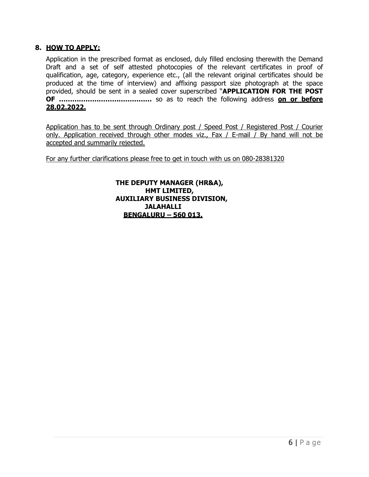#### **8. HOW TO APPLY:**

Application in the prescribed format as enclosed, duly filled enclosing therewith the Demand Draft and a set of self attested photocopies of the relevant certificates in proof of qualification, age, category, experience etc., (all the relevant original certificates should be produced at the time of interview) and affixing passport size photograph at the space provided, should be sent in a sealed cover superscribed "**APPLICATION FOR THE POST OF ……………………………………** so as to reach the following address **on or before 28.02.2022.**

Application has to be sent through Ordinary post / Speed Post / Registered Post / Courier only. Application received through other modes viz., Fax / E-mail / By hand will not be accepted and summarily rejected.

For any further clarifications please free to get in touch with us on 080-28381320

**THE DEPUTY MANAGER (HR&A), HMT LIMITED, AUXILIARY BUSINESS DIVISION, JALAHALLI BENGALURU – 560 013.**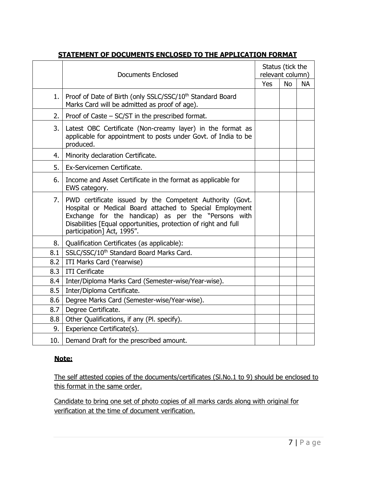|     | <b>Documents Enclosed</b>                                                                                                                                                                                                                                                    |            | Status (tick the<br>relevant column) |           |  |
|-----|------------------------------------------------------------------------------------------------------------------------------------------------------------------------------------------------------------------------------------------------------------------------------|------------|--------------------------------------|-----------|--|
|     |                                                                                                                                                                                                                                                                              | <b>Yes</b> | <b>No</b>                            | <b>NA</b> |  |
| 1.  | Proof of Date of Birth (only SSLC/SSC/10 <sup>th</sup> Standard Board<br>Marks Card will be admitted as proof of age).                                                                                                                                                       |            |                                      |           |  |
| 2.  | Proof of Caste $-$ SC/ST in the prescribed format.                                                                                                                                                                                                                           |            |                                      |           |  |
| 3.  | Latest OBC Certificate (Non-creamy layer) in the format as<br>applicable for appointment to posts under Govt. of India to be<br>produced.                                                                                                                                    |            |                                      |           |  |
| 4.  | Minority declaration Certificate.                                                                                                                                                                                                                                            |            |                                      |           |  |
| 5.  | Ex-Servicemen Certificate.                                                                                                                                                                                                                                                   |            |                                      |           |  |
| 6.  | Income and Asset Certificate in the format as applicable for<br>EWS category.                                                                                                                                                                                                |            |                                      |           |  |
| 7.  | PWD certificate issued by the Competent Authority (Govt.<br>Hospital or Medical Board attached to Special Employment<br>Exchange for the handicap) as per the "Persons with<br>Disabilities [Equal opportunities, protection of right and full<br>participation] Act, 1995". |            |                                      |           |  |
| 8.  | Qualification Certificates (as applicable):                                                                                                                                                                                                                                  |            |                                      |           |  |
| 8.1 | SSLC/SSC/10 <sup>th</sup> Standard Board Marks Card.                                                                                                                                                                                                                         |            |                                      |           |  |
| 8.2 | ITI Marks Card (Yearwise)                                                                                                                                                                                                                                                    |            |                                      |           |  |
| 8.3 | <b>ITI</b> Cerificate                                                                                                                                                                                                                                                        |            |                                      |           |  |
| 8.4 | Inter/Diploma Marks Card (Semester-wise/Year-wise).                                                                                                                                                                                                                          |            |                                      |           |  |
| 8.5 | Inter/Diploma Certificate.                                                                                                                                                                                                                                                   |            |                                      |           |  |
| 8.6 | Degree Marks Card (Semester-wise/Year-wise).                                                                                                                                                                                                                                 |            |                                      |           |  |
| 8.7 | Degree Certificate.                                                                                                                                                                                                                                                          |            |                                      |           |  |
| 8.8 | Other Qualifications, if any (Pl. specify).                                                                                                                                                                                                                                  |            |                                      |           |  |
| 9.  | Experience Certificate(s).                                                                                                                                                                                                                                                   |            |                                      |           |  |
| 10. | Demand Draft for the prescribed amount.                                                                                                                                                                                                                                      |            |                                      |           |  |

# **STATEMENT OF DOCUMENTS ENCLOSED TO THE APPLICATION FORMAT**

# **Note:**

The self attested copies of the documents/certificates (Sl.No.1 to 9) should be enclosed to this format in the same order.

Candidate to bring one set of photo copies of all marks cards along with original for verification at the time of document verification.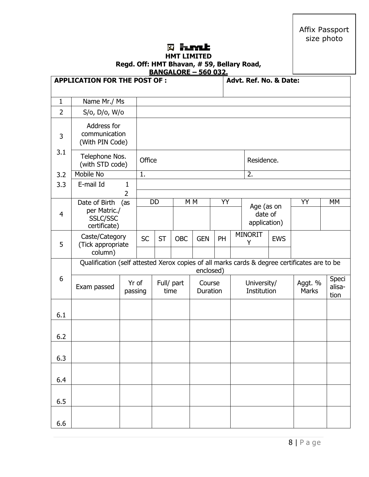Affix Passport size photo

#### **Whent HMT LIMITED**

| '''''' LI''L'E                            |  |  |  |  |  |  |  |  |
|-------------------------------------------|--|--|--|--|--|--|--|--|
| Regd. Off: HMT Bhavan, #59, Bellary Road, |  |  |  |  |  |  |  |  |
| <b>BANGALORE - 560 032.</b>               |  |  |  |  |  |  |  |  |

|                | <b>APPLICATION FOR THE POST OF :</b>                                                                    |                   |                    |           |                |                    |    |                     | Advt. Ref. No. & Date:                |            |                         |                         |  |
|----------------|---------------------------------------------------------------------------------------------------------|-------------------|--------------------|-----------|----------------|--------------------|----|---------------------|---------------------------------------|------------|-------------------------|-------------------------|--|
| $\mathbf{1}$   | Name Mr./ Ms                                                                                            |                   |                    |           |                |                    |    |                     |                                       |            |                         |                         |  |
| $\overline{2}$ | S/o, D/o, W/o                                                                                           |                   |                    |           |                |                    |    |                     |                                       |            |                         |                         |  |
| 3              | Address for<br>communication<br>(With PIN Code)                                                         |                   |                    |           |                |                    |    |                     |                                       |            |                         |                         |  |
| 3.1            | Telephone Nos.<br>(with STD code)                                                                       |                   | Office             |           |                |                    |    |                     | Residence.                            |            |                         |                         |  |
| 3.2            | <b>Mobile No</b>                                                                                        |                   | 1.                 |           |                |                    |    |                     | 2.                                    |            |                         |                         |  |
| 3.3            | E-mail Id                                                                                               | $\mathbf{1}$<br>2 |                    |           |                |                    |    |                     |                                       |            |                         |                         |  |
|                | Date of Birth                                                                                           | (as               |                    | <b>DD</b> | M <sub>M</sub> |                    | YY |                     |                                       |            | ΥY                      | МM                      |  |
| 4              | per Matric./<br>SSLC/SSC<br>certificate)                                                                |                   |                    |           |                |                    |    |                     | Age (as on<br>date of<br>application) |            |                         |                         |  |
| 5              | Caste/Category<br>(Tick appropriate                                                                     |                   | <b>SC</b>          | <b>ST</b> | <b>OBC</b>     | <b>GEN</b>         | PH | <b>MINORIT</b><br>Υ |                                       | <b>EWS</b> |                         |                         |  |
|                | column)<br>Qualification (self attested Xerox copies of all marks cards & degree certificates are to be |                   |                    |           |                | enclosed)          |    |                     |                                       |            |                         |                         |  |
| 6              | Yr of<br>Exam passed<br>passing                                                                         |                   | Full/ part<br>time |           |                | Course<br>Duration |    |                     | University/<br>Institution            |            | Aggt. %<br><b>Marks</b> | Speci<br>alisa-<br>tion |  |
| 6.1            |                                                                                                         |                   |                    |           |                |                    |    |                     |                                       |            |                         |                         |  |
| 6.2            |                                                                                                         |                   |                    |           |                |                    |    |                     |                                       |            |                         |                         |  |
| 6.3            |                                                                                                         |                   |                    |           |                |                    |    |                     |                                       |            |                         |                         |  |
| 6.4            |                                                                                                         |                   |                    |           |                |                    |    |                     |                                       |            |                         |                         |  |
| 6.5            |                                                                                                         |                   |                    |           |                |                    |    |                     |                                       |            |                         |                         |  |
| 6.6            |                                                                                                         |                   |                    |           |                |                    |    |                     |                                       |            |                         |                         |  |